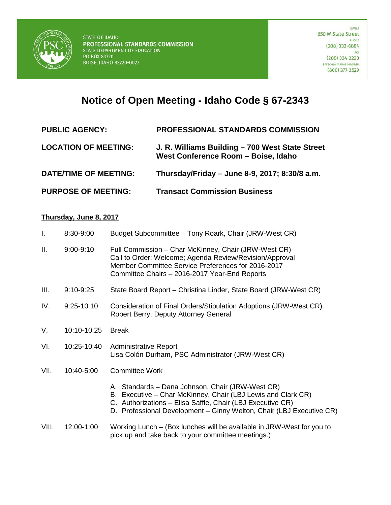

## **Notice of Open Meeting - Idaho Code § 67-2343**

| <b>PUBLIC AGENCY:</b>        | <b>PROFESSIONAL STANDARDS COMMISSION</b>                                               |
|------------------------------|----------------------------------------------------------------------------------------|
| <b>LOCATION OF MEETING:</b>  | J. R. Williams Building - 700 West State Street<br>West Conference Room - Boise, Idaho |
| <b>DATE/TIME OF MEETING:</b> | Thursday/Friday - June 8-9, 2017; 8:30/8 a.m.                                          |
| <b>PURPOSE OF MEETING:</b>   | <b>Transact Commission Business</b>                                                    |

## **Thursday, June 8, 2017**

| $\mathbf{I}$ . | 8:30-9:00     | Budget Subcommittee - Tony Roark, Chair (JRW-West CR)                                                                                                                                                                                                  |
|----------------|---------------|--------------------------------------------------------------------------------------------------------------------------------------------------------------------------------------------------------------------------------------------------------|
| Ш.             | $9:00 - 9:10$ | Full Commission - Char McKinney, Chair (JRW-West CR)<br>Call to Order; Welcome; Agenda Review/Revision/Approval<br>Member Committee Service Preferences for 2016-2017<br>Committee Chairs - 2016-2017 Year-End Reports                                 |
| III.           | $9:10 - 9:25$ | State Board Report – Christina Linder, State Board (JRW-West CR)                                                                                                                                                                                       |
| IV.            | $9:25-10:10$  | Consideration of Final Orders/Stipulation Adoptions (JRW-West CR)<br>Robert Berry, Deputy Attorney General                                                                                                                                             |
| V.             | 10:10-10:25   | <b>Break</b>                                                                                                                                                                                                                                           |
| VI.            | 10:25-10:40   | <b>Administrative Report</b><br>Lisa Colón Durham, PSC Administrator (JRW-West CR)                                                                                                                                                                     |
| VII.           | 10:40-5:00    | <b>Committee Work</b>                                                                                                                                                                                                                                  |
|                |               | A. Standards - Dana Johnson, Chair (JRW-West CR)<br>B. Executive - Char McKinney, Chair (LBJ Lewis and Clark CR)<br>C. Authorizations - Elisa Saffle, Chair (LBJ Executive CR)<br>D. Professional Development - Ginny Welton, Chair (LBJ Executive CR) |
| VIII.          | 12:00-1:00    | Working Lunch – (Box lunches will be available in JRW-West for you to<br>pick up and take back to your committee meetings.)                                                                                                                            |